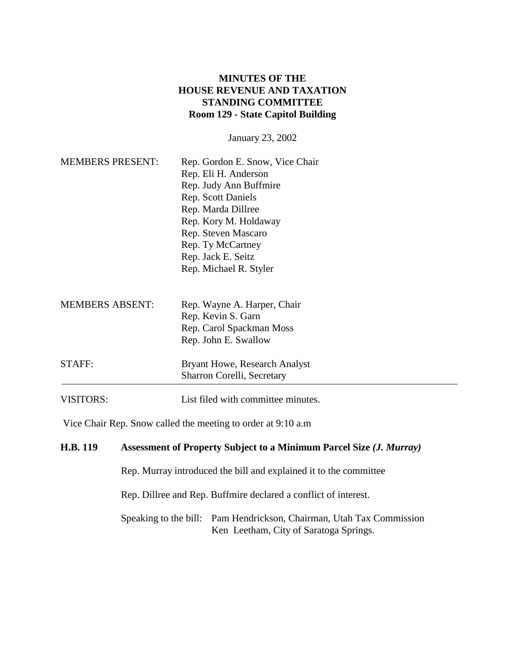## **MINUTES OF THE HOUSE REVENUE AND TAXATION STANDING COMMITTEE Room 129 - State Capitol Building**

January 23, 2002

| <b>MEMBERS PRESENT:</b> | Rep. Gordon E. Snow, Vice Chair<br>Rep. Eli H. Anderson<br>Rep. Judy Ann Buffmire<br><b>Rep.</b> Scott Daniels<br>Rep. Marda Dillree<br>Rep. Kory M. Holdaway<br>Rep. Steven Mascaro<br>Rep. Ty McCartney<br>Rep. Jack E. Seitz<br>Rep. Michael R. Styler |
|-------------------------|-----------------------------------------------------------------------------------------------------------------------------------------------------------------------------------------------------------------------------------------------------------|
| <b>MEMBERS ABSENT:</b>  | Rep. Wayne A. Harper, Chair<br>Rep. Kevin S. Garn<br>Rep. Carol Spackman Moss<br>Rep. John E. Swallow                                                                                                                                                     |
| STAFF:                  | Bryant Howe, Research Analyst<br>Sharron Corelli, Secretary                                                                                                                                                                                               |
| VISITORS:               | List filed with committee minutes.                                                                                                                                                                                                                        |

Vice Chair Rep. Snow called the meeting to order at 9:10 a.m

## **H.B. 119** Assessment of Property Subject to a Minimum Parcel Size (*J. Murray*)

Rep. Murray introduced the bill and explained it to the committee

Rep. Dillree and Rep. Buffmire declared a conflict of interest.

Speaking to the bill: Pam Hendrickson, Chairman, Utah Tax Commission Ken Leetham, City of Saratoga Springs.